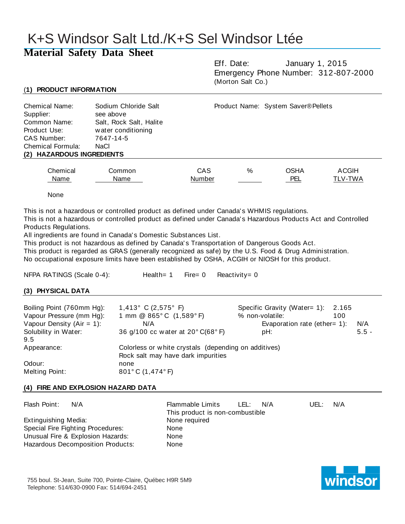# K+S Windsor Salt Ltd./K+S Sel Windsor Ltée

# **Material Safety Data Sheet**

Eff. Date: January 1, 2015 Emergency Phone Number: 312-807-2000 (Morton Salt Co.)

# (**1) PRODUCT INFORMATION**

| <b>Chemical Name:</b><br>Supplier:<br>Common Name:<br>Product Use:<br>CAS Number:<br>Chemical Formula:<br>(2) HAZARDOUS INGREDIENTS | Sodium Chloride Salt<br>see above<br>Salt, Rock Salt, Halite<br>water conditioning<br>7647-14-5<br>NaCl |        |   | Product Name: System Saver® Pellets |              |
|-------------------------------------------------------------------------------------------------------------------------------------|---------------------------------------------------------------------------------------------------------|--------|---|-------------------------------------|--------------|
| Chemical                                                                                                                            | Common                                                                                                  | CAS    | % | <b>OSHA</b>                         | <b>ACGIH</b> |
| Name                                                                                                                                | Name                                                                                                    | Number |   | PEL                                 | TLV-TWA      |

None

This is not a hazardous or controlled product as defined under Canada' s WHMIS regulations.

This is not a hazardous or controlled product as defined under Canada' s Hazardous Products Act and Controlled Products Regulations.

All ingredients are found in Canada' s Domestic Substances List.

This product is not hazardous as defined by Canada's Transportation of Dangerous Goods Act.

This product is regarded as GRAS (generally recognized as safe) by the U.S. Food & Drug Administration.

No occupational exposure limits have been established by OSHA, ACGIH or NIOSH for this product.

NFPA RATINGS (Scale 0-4): Health= 1 Fire= 0 Reactivity= 0

# **(3) PHYSICAL DATA**

| Boiling Point (760mm Hg):<br>Vapour Pressure (mm Hg):<br>Vapour Density ( $Air = 1$ ): | 1,413° C (2,575° F)<br>1 mm @ 865°C (1,589°F)<br>N/A<br>36 g/100 cc water at 20° C(68° F)  | Specific Gravity (Water= 1): 2.165<br>% non-volatile:<br>100<br>Evaporation rate (ether= $1$ ): | N/A     |
|----------------------------------------------------------------------------------------|--------------------------------------------------------------------------------------------|-------------------------------------------------------------------------------------------------|---------|
| Solubility in Water:<br>9.5                                                            |                                                                                            | pH:                                                                                             | $5.5 -$ |
| Appearance:                                                                            | Colorless or white crystals (depending on additives)<br>Rock salt may have dark impurities |                                                                                                 |         |
| Odour:                                                                                 | none                                                                                       |                                                                                                 |         |
| Melting Point:                                                                         | 801°C (1,474°F)                                                                            |                                                                                                 |         |

# **(4) FIRE AND EXPLOSION HAZARD DATA**

| Flash Point:         | N/A                               | Flammable Limits<br>This product is non-combustible | o LEL: | N/A | UEL: | N/A |
|----------------------|-----------------------------------|-----------------------------------------------------|--------|-----|------|-----|
| Extinguishing Media: |                                   | None required                                       |        |     |      |     |
|                      | Special Fire Fighting Procedures: | None                                                |        |     |      |     |
|                      | Unusual Fire & Explosion Hazards: | None                                                |        |     |      |     |
|                      | Hazardous Decomposition Products: | None                                                |        |     |      |     |

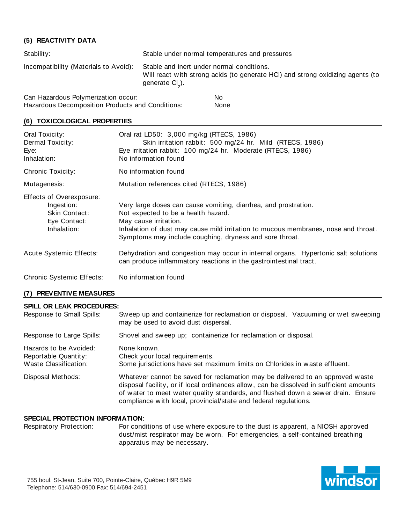# **(5) REACTIVITY DATA**

| Stability:                            | Stable under normal temperatures and pressures                                                                                                             |
|---------------------------------------|------------------------------------------------------------------------------------------------------------------------------------------------------------|
| Incompatibility (Materials to Avoid): | Stable and inert under normal conditions.<br>Will react with strong acids (to generate HCI) and strong oxidizing agents (to<br>generate Cl <sub>2</sub> ). |
| Can Hazardous Dolumerization acour:   | $N_{\alpha}$                                                                                                                                               |

Can Hazardous Polymerization occur: No Hazardous Decomposition Products and Conditions: None

#### **(6) TOXICOLOGICAL PROPERTIES**

| Oral Toxicity:<br>Dermal Toxicity:<br>Eye:<br>Inhalation:                              | Oral rat LD50: 3,000 mg/kg (RTECS, 1986)<br>Skin irritation rabbit: 500 mg/24 hr. Mild (RTECS, 1986)<br>Eye irritation rabbit: 100 mg/24 hr. Moderate (RTECS, 1986)<br>No information found                                                                                      |
|----------------------------------------------------------------------------------------|----------------------------------------------------------------------------------------------------------------------------------------------------------------------------------------------------------------------------------------------------------------------------------|
| Chronic Toxicity:                                                                      | No information found                                                                                                                                                                                                                                                             |
| Mutagenesis:                                                                           | Mutation references cited (RTECS, 1986)                                                                                                                                                                                                                                          |
| Effects of Overexposure:<br>Ingestion:<br>Skin Contact:<br>Eye Contact:<br>Inhalation: | Very large doses can cause vomiting, diarrhea, and prostration.<br>Not expected to be a health hazard.<br>May cause irritation.<br>Inhalation of dust may cause mild irritation to mucous membranes, nose and throat.<br>Symptoms may include coughing, dryness and sore throat. |
| Acute Systemic Effects:                                                                | Dehydration and congestion may occur in internal organs. Hypertonic salt solutions<br>can produce inflammatory reactions in the gastrointestinal tract.                                                                                                                          |
| <b>Chronic Systemic Effects:</b>                                                       | No information found                                                                                                                                                                                                                                                             |

# **(7) PREVENTIVE MEASURES**

#### **SPILL OR LEAK PROCEDURES:**

| Response to Small Spills:                                               | Sweep up and containerize for reclamation or disposal. Vacuuming or wet sweeping<br>may be used to avoid dust dispersal.                                                                                                                                                                                                          |
|-------------------------------------------------------------------------|-----------------------------------------------------------------------------------------------------------------------------------------------------------------------------------------------------------------------------------------------------------------------------------------------------------------------------------|
| Response to Large Spills:                                               | Shovel and sweep up; containerize for reclamation or disposal.                                                                                                                                                                                                                                                                    |
| Hazards to be Avoided:<br>Reportable Quantity:<br>Waste Classification: | None known.<br>Check your local requirements.<br>Some jurisdictions have set maximum limits on Chlorides in waste effluent.                                                                                                                                                                                                       |
| Disposal Methods:                                                       | Whatever cannot be saved for reclamation may be delivered to an approved waste<br>disposal facility, or if local ordinances allow, can be dissolved in sufficient amounts<br>of water to meet water quality standards, and flushed down a sewer drain. Ensure<br>compliance with local, provincial/state and federal regulations. |

#### **SPECIAL PROTECTION INFORMATION**:

Respiratory Protection: For conditions of use w here exposure to the dust is apparent, a NIOSH approved dust/mist respirator may be w orn. For emergencies, a self-contained breathing apparatus may be necessary.

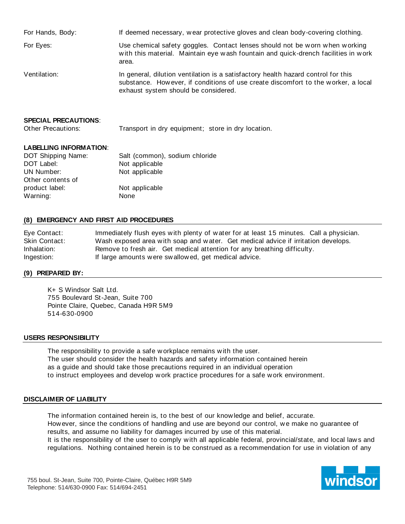| For Hands, Body:            | If deemed necessary, wear protective gloves and clean body-covering clothing.                                                                                                                                  |
|-----------------------------|----------------------------------------------------------------------------------------------------------------------------------------------------------------------------------------------------------------|
| For Eyes:                   | Use chemical safety goggles. Contact lenses should not be worn when working<br>with this material. Maintain eye wash fountain and quick-drench facilities in work<br>area.                                     |
| Ventilation:                | In general, dilution ventilation is a satisfactory health hazard control for this<br>substance. However, if conditions of use create discomfort to the worker, a local<br>exhaust system should be considered. |
| <b>SPECIAL PRECAUTIONS:</b> |                                                                                                                                                                                                                |

Other Precautions: Transport in dry equipment; store in dry location.

# **LABELLING INFORMATION**:

| DOT Shipping Name: | Salt (common), sodium chloride |
|--------------------|--------------------------------|
| DOT Label:         | Not applicable                 |
| UN Number:         | Not applicable                 |
| Other contents of  |                                |
| product label:     | Not applicable                 |
| Warning:           | None                           |

# **(8) EMERGENCY AND FIRST AID PROCEDURES**

Eye Contact: Immediately flush eyes w ith plenty of w ater for at least 15 minutes. Call a physician. Skin Contact: Wash exposed area with soap and water. Get medical advice if irritation develops. Inhalation: Remove to fresh air. Get medical attention for any breathing difficulty. Ingestion: If large amounts w ere sw allow ed, get medical advice.

# **(9) PREPARED BY:**

K+ S Windsor Salt Ltd. 755 Boulevard St-Jean, Suite 700 Pointe Claire, Quebec, Canada H9R 5M9 514-630-0900

#### **USERS RESPONSIBILITY**

The responsibility to provide a safe w orkplace remains w ith the user. The user should consider the health hazards and safety information contained herein as a guide and should take those precautions required in an individual operation to instruct employees and develop w ork practice procedures for a safe w ork environment.

#### **DISCLAIMER OF LIABILITY**

The information contained herein is, to the best of our know ledge and belief, accurate. How ever, since the conditions of handling and use are beyond our control, we make no guarantee of results, and assume no liability for damages incurred by use of this material. It is the responsibility of the user to comply w ith all applicable federal, provincial/state, and local law s and regulations. Nothing contained herein is to be construed as a recommendation for use in violation of any